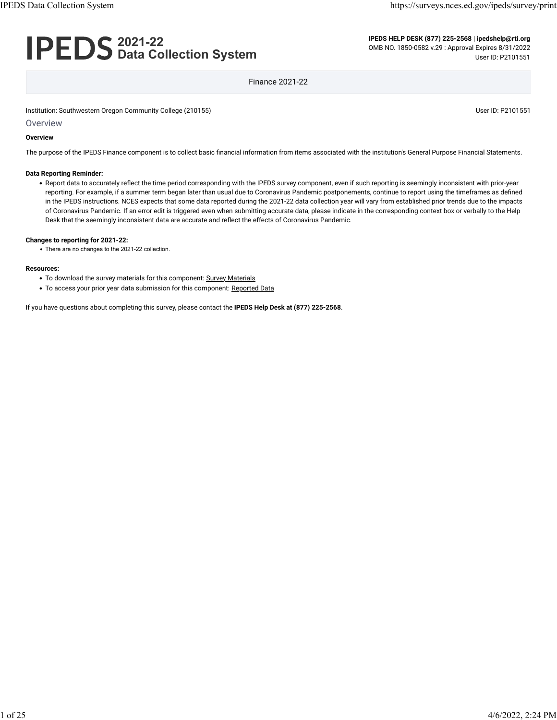# **2021-22 Data Collection System**

**IPEDS HELP DESK (877) 225-2568 | ipedshelp@rti.org** OMB NO. 1850-0582 v.29 : Approval Expires 8/31/2022 User ID: P2101551

Finance 2021-22

Institution: Southwestern Oregon Community College (210155) Community College (210155)

Overview

#### **Overview**

The purpose of the IPEDS Finance component is to collect basic financial information from items associated with the institution's General Purpose Financial Statements.

#### **Data Reporting Reminder:**

• Report data to accurately reflect the time period corresponding with the IPEDS survey component, even if such reporting is seemingly inconsistent with prior-year reporting. For example, if a summer term began later than usual due to Coronavirus Pandemic postponements, continue to report using the timeframes as defined in the IPEDS instructions. NCES expects that some data reported during the 2021-22 data collection year will vary from established prior trends due to the impacts of Coronavirus Pandemic. If an error edit is triggered even when submitting accurate data, please indicate in the corresponding context box or verbally to the Help Desk that the seemingly inconsistent data are accurate and reflect the effects of Coronavirus Pandemic.

#### **Changes to reporting for 2021-22:**

• There are no changes to the 2021-22 collection.

#### **Resources:**

- To download the survey materials for this component: [Survey Materials](https://surveys.nces.ed.gov/ipeds/public/survey-materials/index)
- To access your prior year data submission for this component: [Reported Data](javascript:openReportedData(210155, 5))

If you have questions about completing this survey, please contact the **IPEDS Help Desk at (877) 225-2568**.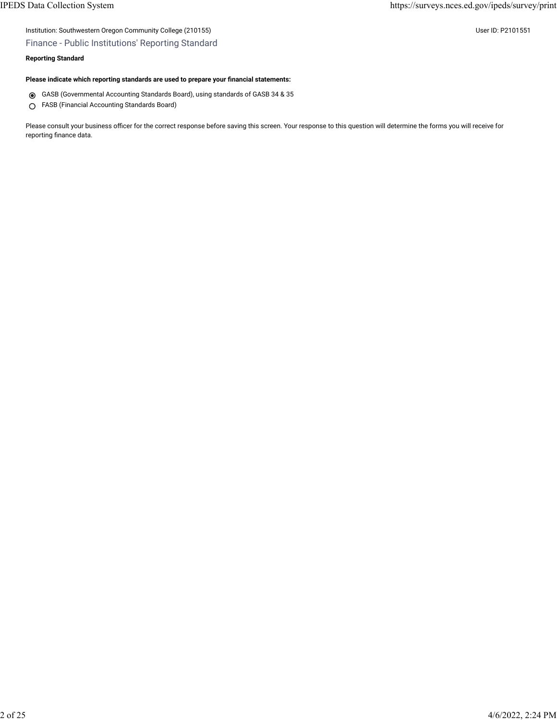#### Finance - Public Institutions' Reporting Standard

#### **Reporting Standard**

#### **Please indicate which reporting standards are used to prepare your financial statements:**

- GASB (Governmental Accounting Standards Board), using standards of GASB 34 & 35
- FASB (Financial Accounting Standards Board)

Please consult your business officer for the correct response before saving this screen. Your response to this question will determine the forms you will receive for reporting finance data.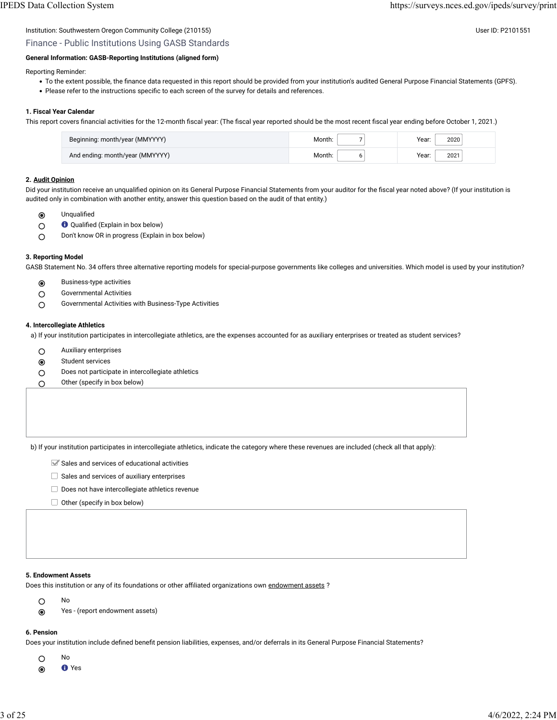#### Institution: Southwestern Oregon Community College (210155) Community College (210155)

## Finance - Public Institutions Using GASB Standards

#### **General Information: GASB-Reporting Institutions (aligned form)**

Reporting Reminder:

- To the extent possible, the finance data requested in this report should be provided from your institution's audited General Purpose Financial Statements (GPFS).
- Please refer to the instructions specific to each screen of the survey for details and references.

#### **1. Fiscal Year Calendar**

This report covers financial activities for the 12-month fiscal year: (The fiscal year reported should be the most recent fiscal year ending before October 1, 2021.)

| Beginning: month/year (MMYYYY)  | :Aonth | Year:<br>2020 |
|---------------------------------|--------|---------------|
| And ending: month/year (MMYYYY) | /lonth | 2021<br>Year: |

#### **2. [Audit Opinion](javascript:openglossary(727))**

Did your institution receive an unqualified opinion on its General Purpose Financial Statements from your auditor for the fiscal year noted above? (If your institution is audited only in combination with another entity, answer this question based on the audit of that entity.)

- $\circledcirc$ Unqualified
- Qualified (Explain in box below)  $\circ$
- Don't know OR in progress (Explain in box below)  $\circ$

#### **3. Reporting Model**

GASB Statement No. 34 offers three alternative reporting models for special-purpose governments like colleges and universities. Which model is used by your institution?

- $\odot$ Business-type activities
- Governmental Activities  $\bigcirc$
- Governmental Activities with Business-Type Activities  $\circ$

#### **4. Intercollegiate Athletics**

a) If your institution participates in intercollegiate athletics, are the expenses accounted for as auxiliary enterprises or treated as student services?

- Auxiliary enterprises
- Student services
- O Does not participate in intercollegiate athletics
- $\bigcirc$  Other (specify in box below)

b) If your institution participates in intercollegiate athletics, indicate the category where these revenues are included (check all that apply):

- $\blacktriangleright$  Sales and services of educational activities
- $\Box$  Sales and services of auxiliary enterprises
- $\Box$  Does not have intercollegiate athletics revenue
- $\Box$  Other (specify in box below)

#### **5. Endowment Assets**

No

Does this institution or any of its foundations or other affiliated organizations own [endowment assets](javascript:openglossary(197)) ?

- $\circ$
- Yes (report endowment assets)

#### **6. Pension**

Does your institution include defined benefit pension liabilities, expenses, and/or deferrals in its General Purpose Financial Statements?

- $\circ$ No
- Yes  $\odot$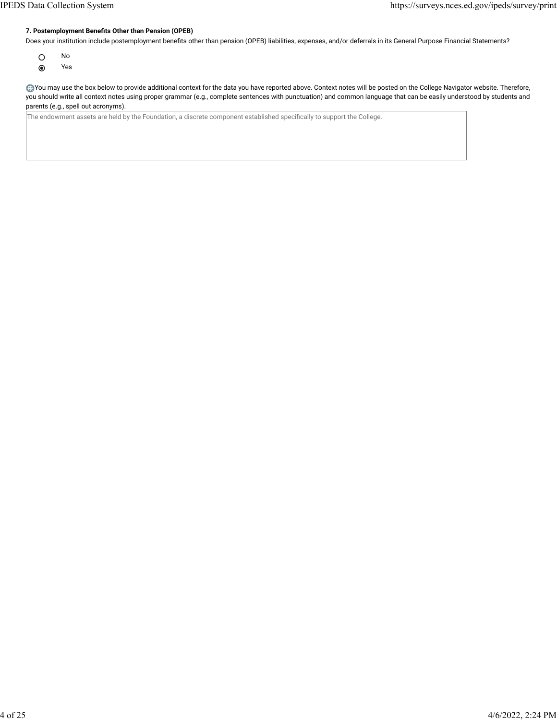#### **7. Postemployment Benefits Other than Pension (OPEB)**

Does your institution include postemployment benefits other than pension (OPEB) liabilities, expenses, and/or deferrals in its General Purpose Financial Statements?

- $\circ$ No
- $\odot$ Yes

You may use the box below to provide additional context for the data you have reported above. Context notes will be posted on the College Navigator website. Therefore, you should write all context notes using proper grammar (e.g., complete sentences with punctuation) and common language that can be easily understood by students and parents (e.g., spell out acronyms).

The endowment assets are held by the Foundation, a discrete component established specifically to support the College.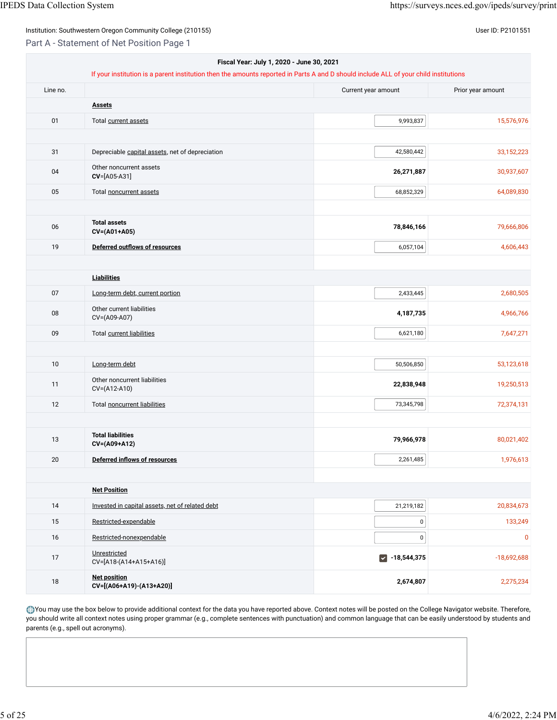Part A - Statement of Net Position Page 1

|          | Fiscal Year: July 1, 2020 - June 30, 2021<br>If your institution is a parent institution then the amounts reported in Parts A and D should include ALL of your child institutions |                                       |                   |
|----------|-----------------------------------------------------------------------------------------------------------------------------------------------------------------------------------|---------------------------------------|-------------------|
| Line no. |                                                                                                                                                                                   | Current year amount                   | Prior year amount |
|          | <b>Assets</b>                                                                                                                                                                     |                                       |                   |
| 01       | Total current assets                                                                                                                                                              | 9,993,837                             | 15,576,976        |
|          |                                                                                                                                                                                   |                                       |                   |
| 31       | Depreciable capital assets, net of depreciation                                                                                                                                   | 42,580,442                            | 33,152,223        |
| 04       | Other noncurrent assets<br>CV=[A05-A31]                                                                                                                                           | 26,271,887                            | 30,937,607        |
| 05       | Total noncurrent assets                                                                                                                                                           | 68,852,329                            | 64,089,830        |
|          |                                                                                                                                                                                   |                                       |                   |
| 06       | <b>Total assets</b><br>CV=(A01+A05)                                                                                                                                               | 78,846,166                            | 79,666,806        |
| 19       | <b>Deferred outflows of resources</b>                                                                                                                                             | 6,057,104                             | 4,606,443         |
|          |                                                                                                                                                                                   |                                       |                   |
|          | <b>Liabilities</b>                                                                                                                                                                |                                       |                   |
| 07       | Long-term debt, current portion                                                                                                                                                   | 2,433,445                             | 2,680,505         |
| 08       | Other current liabilities<br>CV=(A09-A07)                                                                                                                                         | 4,187,735                             | 4,966,766         |
| 09       | Total current liabilities                                                                                                                                                         | 6,621,180                             | 7,647,271         |
| 10       | Long-term debt                                                                                                                                                                    | 50,506,850                            | 53,123,618        |
|          | Other noncurrent liabilities                                                                                                                                                      |                                       |                   |
| 11       | CV=(A12-A10)                                                                                                                                                                      | 22,838,948                            | 19,250,513        |
| 12       | Total noncurrent liabilities                                                                                                                                                      | 73,345,798                            | 72,374,131        |
|          |                                                                                                                                                                                   |                                       |                   |
| 13       | <b>Total liabilities</b><br>CV=(A09+A12)                                                                                                                                          | 79,966,978                            | 80,021,402        |
| 20       | Deferred inflows of resources                                                                                                                                                     | 2,261,485                             | 1,976,613         |
|          |                                                                                                                                                                                   |                                       |                   |
|          | <b>Net Position</b>                                                                                                                                                               |                                       |                   |
| 14       | Invested in capital assets, net of related debt                                                                                                                                   | 21,219,182                            | 20,834,673        |
| 15       | Restricted-expendable                                                                                                                                                             | $\pmb{0}$                             | 133,249           |
| 16       | Restricted-nonexpendable                                                                                                                                                          | $\pmb{0}$                             | $\mathbf 0$       |
| 17       | Unrestricted<br>CV=[A18-(A14+A15+A16)]                                                                                                                                            | $-18,544,375$<br>$\blacktriangledown$ | $-18,692,688$     |
| $18\,$   | <b>Net position</b><br>CV=[(A06+A19)-(A13+A20)]                                                                                                                                   | 2,674,807                             | 2,275,234         |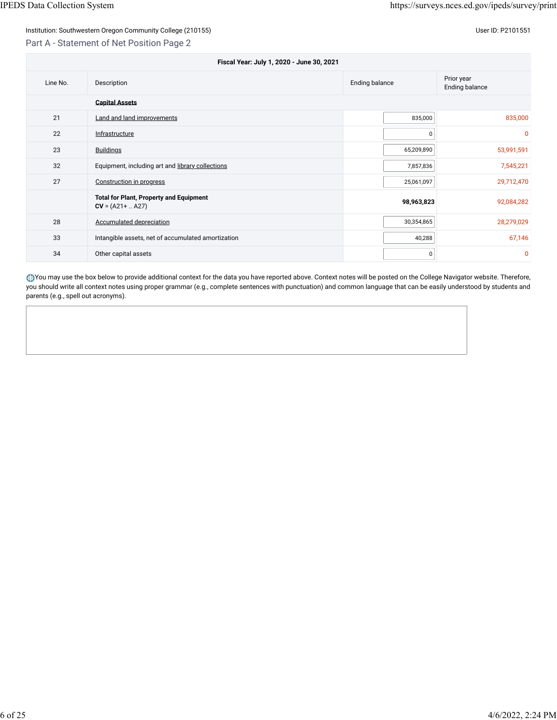#### Part A - Statement of Net Position Page 2

| Fiscal Year: July 1, 2020 - June 30, 2021 |                                                                       |                       |                                     |  |  |
|-------------------------------------------|-----------------------------------------------------------------------|-----------------------|-------------------------------------|--|--|
| Line No.                                  | Description                                                           | <b>Ending balance</b> | Prior year<br><b>Ending balance</b> |  |  |
|                                           | <b>Capital Assets</b>                                                 |                       |                                     |  |  |
| 21                                        | Land and land improvements                                            | 835,000               | 835,000                             |  |  |
| 22                                        | Infrastructure                                                        | U                     | $\overline{0}$                      |  |  |
| 23                                        | <b>Buildings</b>                                                      | 65,209,890            | 53,991,591                          |  |  |
| 32                                        | Equipment, including art and library collections                      | 7,857,836             | 7,545,221                           |  |  |
| 27                                        | Construction in progress                                              | 25,061,097            | 29,712,470                          |  |  |
|                                           | <b>Total for Plant, Property and Equipment</b><br>$CV = (A21 +  A27)$ | 98,963,823            | 92,084,282                          |  |  |
| 28                                        | <b>Accumulated depreciation</b>                                       | 30,354,865            | 28,279,029                          |  |  |
| 33                                        | Intangible assets, net of accumulated amortization                    | 40,288                | 67,146                              |  |  |
| 34                                        | Other capital assets                                                  | 0                     | $\overline{0}$                      |  |  |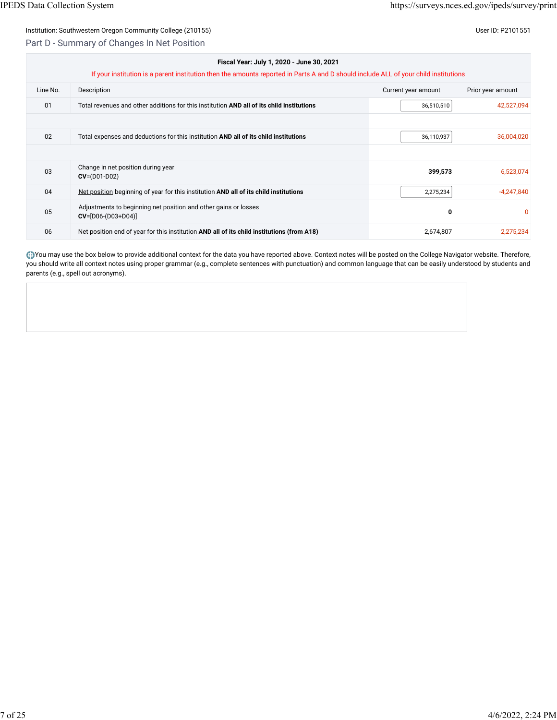#### Part D - Summary of Changes In Net Position

| Fiscal Year: July 1, 2020 - June 30, 2021 |                                                                                                                                      |                     |                   |  |  |  |
|-------------------------------------------|--------------------------------------------------------------------------------------------------------------------------------------|---------------------|-------------------|--|--|--|
|                                           | If your institution is a parent institution then the amounts reported in Parts A and D should include ALL of your child institutions |                     |                   |  |  |  |
| Line No.                                  | Description                                                                                                                          | Current year amount | Prior year amount |  |  |  |
| 01                                        | Total revenues and other additions for this institution AND all of its child institutions                                            | 36,510,510          | 42,527,094        |  |  |  |
|                                           |                                                                                                                                      |                     |                   |  |  |  |
| 02                                        | Total expenses and deductions for this institution AND all of its child institutions                                                 | 36,110,937          | 36,004,020        |  |  |  |
|                                           |                                                                                                                                      |                     |                   |  |  |  |
| 03                                        | Change in net position during year<br>$CV = (D01-D02)$                                                                               | 399,573             | 6,523,074         |  |  |  |
| 04                                        | Net position beginning of year for this institution AND all of its child institutions                                                | 2,275,234           | $-4,247,840$      |  |  |  |
| 05                                        | Adjustments to beginning net position and other gains or losses<br>$CV=[D06-(D03+D04)]$                                              | O                   | $\Omega$          |  |  |  |
| 06                                        | Net position end of year for this institution AND all of its child institutions (from A18)                                           | 2,674,807           | 2,275,234         |  |  |  |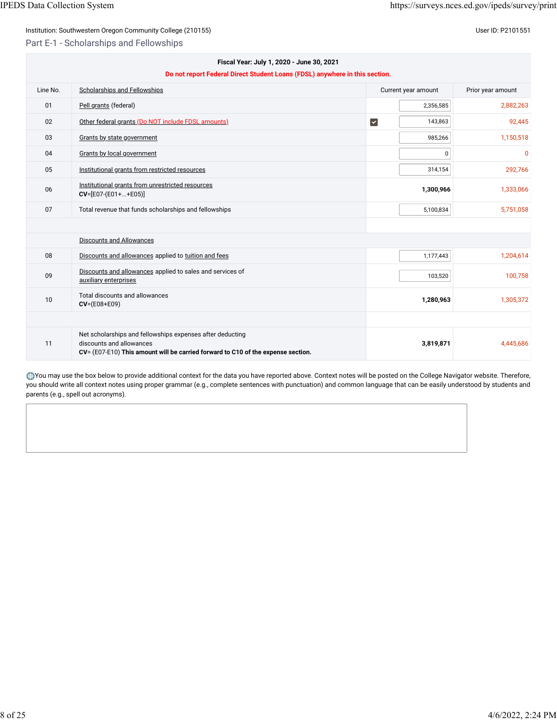Part E-1 - Scholarships and Fellowships

|          | Fiscal Year: July 1, 2020 - June 30, 2021<br>Do not report Federal Direct Student Loans (FDSL) anywhere in this section.                                                  |                       |                     |                   |
|----------|---------------------------------------------------------------------------------------------------------------------------------------------------------------------------|-----------------------|---------------------|-------------------|
| Line No. | Scholarships and Fellowships                                                                                                                                              |                       | Current year amount | Prior year amount |
| 01       | Pell grants (federal)                                                                                                                                                     |                       | 2,356,585           | 2,882,263         |
| 02       | Other federal grants (Do NOT include FDSL amounts)                                                                                                                        | $\blacktriangleright$ | 143,863             | 92,445            |
| 03       | Grants by state government                                                                                                                                                |                       | 985,266             | 1,150,518         |
| 04       | Grants by local government                                                                                                                                                |                       | 0                   | $\Omega$          |
| 05       | Institutional grants from restricted resources                                                                                                                            |                       | 314,154             | 292,766           |
| 06       | Institutional grants from unrestricted resources<br>$CV=[E07-(E01++E05)]$                                                                                                 |                       | 1,300,966           | 1,333,066         |
| 07       | Total revenue that funds scholarships and fellowships                                                                                                                     |                       | 5,100,834           | 5,751,058         |
|          |                                                                                                                                                                           |                       |                     |                   |
|          | <b>Discounts and Allowances</b>                                                                                                                                           |                       |                     |                   |
| 08       | Discounts and allowances applied to tuition and fees                                                                                                                      |                       | 1,177,443           | 1,204,614         |
| 09       | Discounts and allowances applied to sales and services of<br>auxiliary enterprises                                                                                        |                       | 103,520             | 100,758           |
| 10       | Total discounts and allowances<br>$CV = (E08 + E09)$                                                                                                                      |                       | 1,280,963           | 1,305,372         |
|          |                                                                                                                                                                           |                       |                     |                   |
| 11       | Net scholarships and fellowships expenses after deducting<br>discounts and allowances<br>CV= (E07-E10) This amount will be carried forward to C10 of the expense section. |                       | 3,819,871           | 4,445,686         |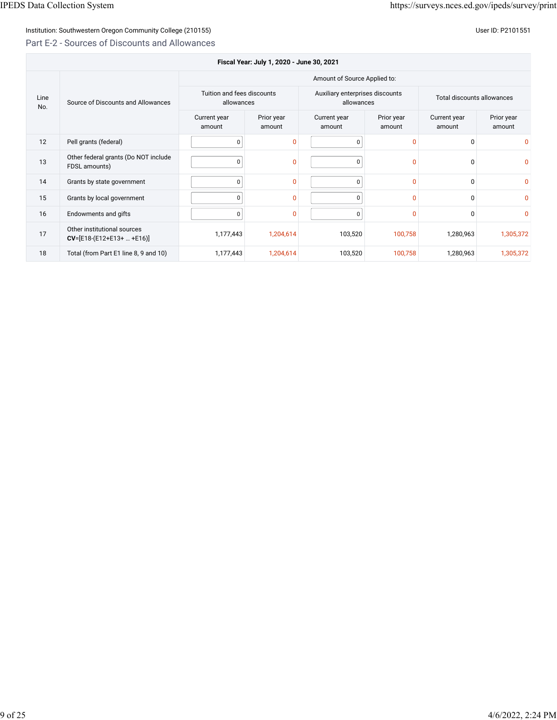## Institution: Southwestern Oregon Community College (210155) Contract the Contract of Contract of Community College (210155)

## Part E-2 - Sources of Discounts and Allowances

|             | Fiscal Year: July 1, 2020 - June 30, 2021                  |                                          |                      |                                               |                      |                            |                      |
|-------------|------------------------------------------------------------|------------------------------------------|----------------------|-----------------------------------------------|----------------------|----------------------------|----------------------|
|             | Amount of Source Applied to:                               |                                          |                      |                                               |                      |                            |                      |
| Line<br>No. | Source of Discounts and Allowances                         | Tuition and fees discounts<br>allowances |                      | Auxiliary enterprises discounts<br>allowances |                      | Total discounts allowances |                      |
|             |                                                            | Current year<br>amount                   | Prior year<br>amount | Current year<br>amount                        | Prior year<br>amount | Current year<br>amount     | Prior year<br>amount |
| 12          | Pell grants (federal)                                      | 0                                        | $\Omega$             | 0                                             | $\mathbf{0}$         | 0                          | $\Omega$             |
| 13          | Other federal grants (Do NOT include<br>FDSL amounts)      | $\mathbf 0$                              | $\mathbf{0}$         | 0                                             | $\mathbf{0}$         | $\Omega$                   | $\mathbf{0}$         |
| 14          | Grants by state government                                 | $\mathbf 0$                              | $\Omega$             | $\Omega$                                      | $\mathbf{0}$         | $\Omega$                   | $\mathbf{0}$         |
| 15          | Grants by local government                                 | $\mathbf 0$                              | $\mathbf{0}$         | $\Omega$                                      | $\Omega$             | <sup>0</sup>               | $\Omega$             |
| 16          | Endowments and gifts                                       | 0                                        | $\mathbf{0}$         | 0                                             | $\mathbf{0}$         | <sup>0</sup>               | $\mathbf{0}$         |
| 17          | Other institutional sources<br>$CV=[E18-(E12+E13+  +E16)]$ | 1,177,443                                | 1,204,614            | 103,520                                       | 100,758              | 1,280,963                  | 1,305,372            |
| 18          | Total (from Part E1 line 8, 9 and 10)                      | 1,177,443                                | 1,204,614            | 103,520                                       | 100,758              | 1,280,963                  | 1,305,372            |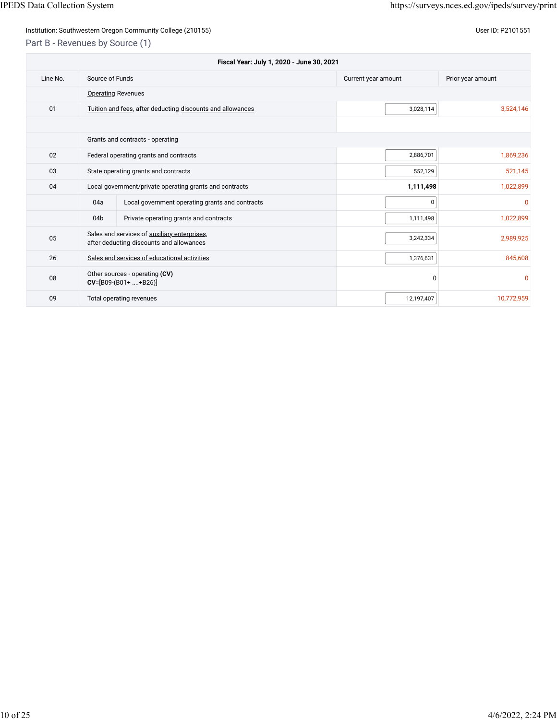## Institution: Southwestern Oregon Community College (210155) Community College (210155)

Part B - Revenues by Source (1)

| Fiscal Year: July 1, 2020 - June 30, 2021 |                 |                                                                                          |                     |                   |
|-------------------------------------------|-----------------|------------------------------------------------------------------------------------------|---------------------|-------------------|
| Line No.                                  | Source of Funds |                                                                                          | Current year amount | Prior year amount |
|                                           |                 | <b>Operating Revenues</b>                                                                |                     |                   |
| 01                                        |                 | Tuition and fees, after deducting discounts and allowances                               | 3,028,114           | 3,524,146         |
|                                           |                 |                                                                                          |                     |                   |
|                                           |                 | Grants and contracts - operating                                                         |                     |                   |
| 02                                        |                 | Federal operating grants and contracts                                                   | 2,886,701           | 1,869,236         |
| 03                                        |                 | State operating grants and contracts                                                     | 552,129             | 521,145           |
| 04                                        |                 | Local government/private operating grants and contracts                                  | 1,111,498           | 1,022,899         |
|                                           | 04a             | Local government operating grants and contracts                                          | 0                   | $\mathbf{0}$      |
|                                           | 04 <sub>b</sub> | Private operating grants and contracts                                                   | 1,111,498           | 1,022,899         |
| 05                                        |                 | Sales and services of auxiliary enterprises,<br>after deducting discounts and allowances | 3,242,334           | 2,989,925         |
| 26                                        |                 | Sales and services of educational activities                                             | 1,376,631           | 845,608           |
| 08                                        |                 | Other sources - operating (CV)<br>$CV=[B09-(B01++B26)]$                                  | 0                   | $\overline{0}$    |
| 09                                        |                 | Total operating revenues                                                                 | 12,197,407          | 10,772,959        |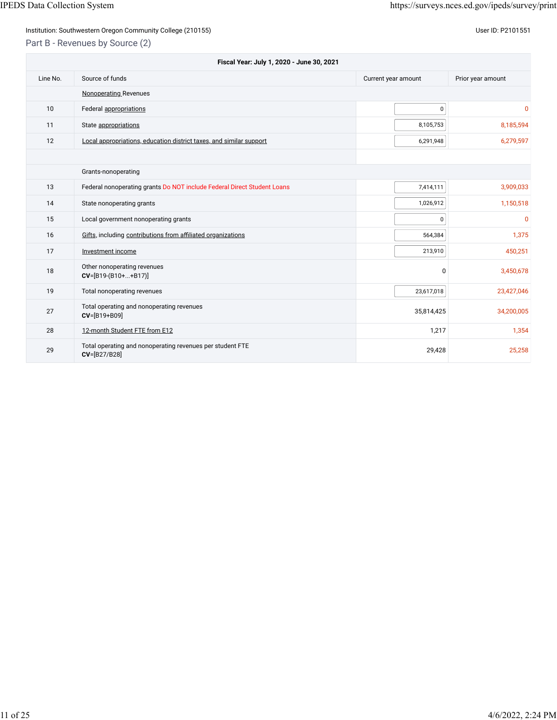## Institution: Southwestern Oregon Community College (210155) Contract the Contract of Contract of Community College (210155)

Part B - Revenues by Source (2)

| Fiscal Year: July 1, 2020 - June 30, 2021 |                                                                           |                     |                   |  |
|-------------------------------------------|---------------------------------------------------------------------------|---------------------|-------------------|--|
| Line No.                                  | Source of funds                                                           | Current year amount | Prior year amount |  |
|                                           | Nonoperating Revenues                                                     |                     |                   |  |
| 10                                        | Federal appropriations                                                    | $\pmb{0}$           | $\mathbf{0}$      |  |
| 11                                        | State appropriations                                                      | 8,105,753           | 8,185,594         |  |
| 12                                        | Local appropriations, education district taxes, and similar support       | 6,291,948           | 6,279,597         |  |
|                                           |                                                                           |                     |                   |  |
|                                           | Grants-nonoperating                                                       |                     |                   |  |
| 13                                        | Federal nonoperating grants Do NOT include Federal Direct Student Loans   | 7,414,111           | 3,909,033         |  |
| 14                                        | State nonoperating grants                                                 | 1,026,912           | 1,150,518         |  |
| 15                                        | Local government nonoperating grants                                      | 0                   | $\mathbf{0}$      |  |
| 16                                        | Gifts, including contributions from affiliated organizations              | 564,384             | 1,375             |  |
| 17                                        | Investment income                                                         | 213,910             | 450,251           |  |
| 18                                        | Other nonoperating revenues<br>$CV=[B19-(B10++B17)]$                      | $\Omega$            | 3,450,678         |  |
| 19                                        | Total nonoperating revenues                                               | 23,617,018          | 23,427,046        |  |
| 27                                        | Total operating and nonoperating revenues<br>CV=[B19+B09]                 | 35,814,425          | 34,200,005        |  |
| 28                                        | 12-month Student FTE from E12                                             | 1,217               | 1,354             |  |
| 29                                        | Total operating and nonoperating revenues per student FTE<br>CV=[B27/B28] | 29,428              | 25,258            |  |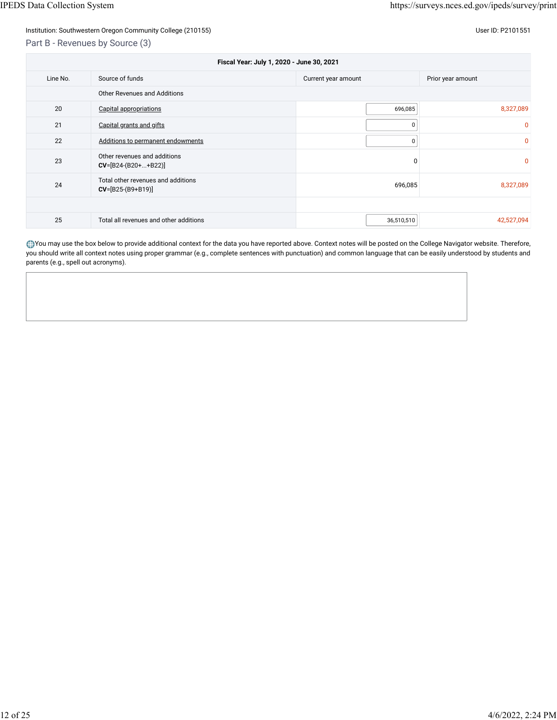## Part B - Revenues by Source (3)

| Fiscal Year: July 1, 2020 - June 30, 2021 |                                                           |                     |                          |  |
|-------------------------------------------|-----------------------------------------------------------|---------------------|--------------------------|--|
| Line No.                                  | Source of funds                                           | Current year amount | Prior year amount        |  |
|                                           | Other Revenues and Additions                              |                     |                          |  |
| 20                                        | <b>Capital appropriations</b>                             |                     | 8,327,089<br>696,085     |  |
| 21                                        | Capital grants and gifts                                  |                     | $\Omega$<br>$\Omega$     |  |
| 22                                        | Additions to permanent endowments                         |                     | $\mathbf{0}$<br>0        |  |
| 23                                        | Other revenues and additions<br>$CV=[B24-(B20++B22)]$     |                     | $\mathbf{0}$<br>$\Omega$ |  |
| 24                                        | Total other revenues and additions<br>$CV=[B25-(B9+B19)]$ |                     | 696,085<br>8,327,089     |  |
|                                           |                                                           |                     |                          |  |
| 25                                        | Total all revenues and other additions                    |                     | 36,510,510<br>42,527,094 |  |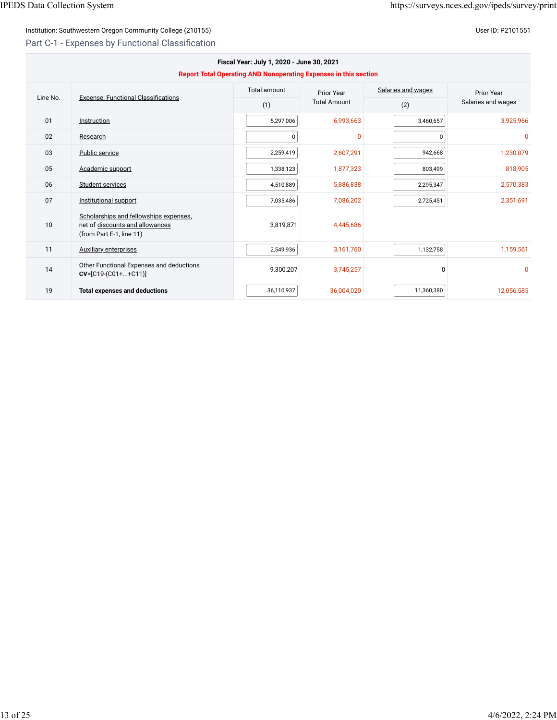## Institution: Southwestern Oregon Community College (210155) Contract the Contract of Contract of Community College (210155)

## Part C-1 - Expenses by Functional Classification

| Fiscal Year: July 1, 2020 - June 30, 2021<br><b>Report Total Operating AND Nonoperating Expenses in this section</b> |                                                                                                       |              |                     |                    |                    |
|----------------------------------------------------------------------------------------------------------------------|-------------------------------------------------------------------------------------------------------|--------------|---------------------|--------------------|--------------------|
| Line No.                                                                                                             | <b>Expense: Functional Classifications</b>                                                            | Total amount | Prior Year          | Salaries and wages | Prior Year         |
|                                                                                                                      |                                                                                                       | (1)          | <b>Total Amount</b> | (2)                | Salaries and wages |
| 01                                                                                                                   | Instruction                                                                                           | 5,297,006    | 6,993,663           | 3,460,657          | 3,925,966          |
| 02                                                                                                                   | Research                                                                                              | 0            | $\mathbf{0}$        | $\Omega$           | $\mathbf{0}$       |
| 03                                                                                                                   | Public service                                                                                        | 2,259,419    | 2,807,291           | 942,668            | 1,230,079          |
| 05                                                                                                                   | Academic support                                                                                      | 1,338,123    | 1,877,323           | 803,499            | 818,905            |
| 06                                                                                                                   | Student services                                                                                      | 4,510,889    | 5,886,838           | 2,295,347          | 2,570,383          |
| 07                                                                                                                   | Institutional support                                                                                 | 7,035,486    | 7,086,202           | 2,725,451          | 2,351,691          |
| 10                                                                                                                   | Scholarships and fellowships expenses,<br>net of discounts and allowances<br>(from Part E-1, line 11) | 3,819,871    | 4,445,686           |                    |                    |
| 11                                                                                                                   | <b>Auxiliary enterprises</b>                                                                          | 2,549,936    | 3,161,760           | 1,132,758          | 1,159,561          |
| 14                                                                                                                   | Other Functional Expenses and deductions<br>$CV=[C19-(C01++C11)]$                                     | 9,300,207    | 3,745,257           | $\Omega$           | $\Omega$           |
| 19                                                                                                                   | <b>Total expenses and deductions</b>                                                                  | 36,110,937   | 36,004,020          | 11,360,380         | 12,056,585         |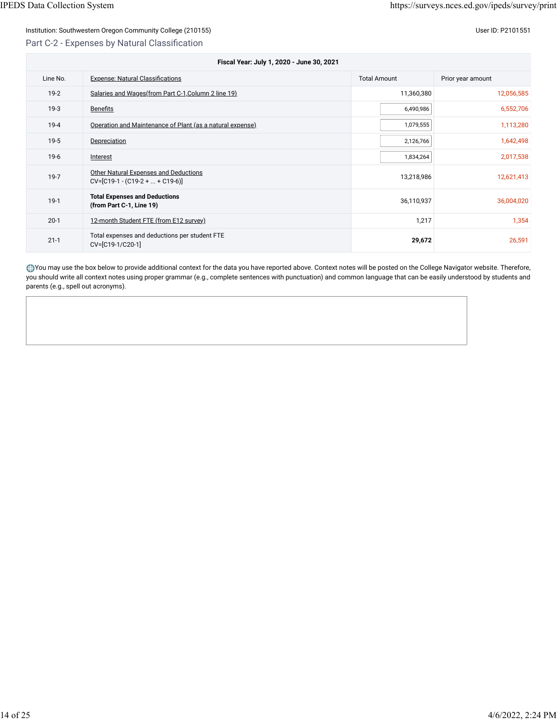## Institution: Southwestern Oregon Community College (210155) Contract the Contract of Contract of Contract of Co Part C-2 - Expenses by Natural Classification

| Fiscal Year: July 1, 2020 - June 30, 2021 |                                                                      |                     |                   |  |  |
|-------------------------------------------|----------------------------------------------------------------------|---------------------|-------------------|--|--|
| Line No.                                  | <b>Expense: Natural Classifications</b>                              | <b>Total Amount</b> | Prior year amount |  |  |
| $19-2$                                    | Salaries and Wages (from Part C-1, Column 2 line 19)                 | 11,360,380          | 12,056,585        |  |  |
| $19-3$                                    | <b>Benefits</b>                                                      | 6,490,986           | 6,552,706         |  |  |
| $19-4$                                    | Operation and Maintenance of Plant (as a natural expense)            | 1,079,555           | 1,113,280         |  |  |
| $19-5$                                    | Depreciation                                                         | 2,126,766           | 1,642,498         |  |  |
| $19-6$                                    | Interest                                                             | 1,834,264           | 2,017,538         |  |  |
| $19-7$                                    | Other Natural Expenses and Deductions<br>$CV=[C19-1-(C19-2++C19-6)]$ | 13,218,986          | 12,621,413        |  |  |
| $19-1$                                    | <b>Total Expenses and Deductions</b><br>(from Part C-1, Line 19)     | 36,110,937          | 36,004,020        |  |  |
| $20-1$                                    | 12-month Student FTE (from E12 survey)                               | 1,217               | 1,354             |  |  |
| $21 - 1$                                  | Total expenses and deductions per student FTE<br>CV=[C19-1/C20-1]    | 29,672              | 26,591            |  |  |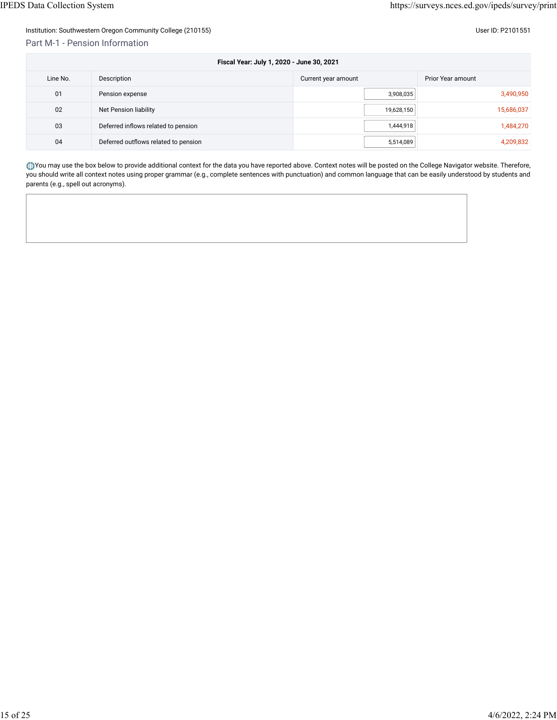## Part M-1 - Pension Information

| l Iser ID: P210 |  |  |
|-----------------|--|--|

| Fiscal Year: July 1, 2020 - June 30, 2021 |                                      |                     |                   |  |
|-------------------------------------------|--------------------------------------|---------------------|-------------------|--|
| Line No.                                  | Description                          | Current year amount | Prior Year amount |  |
| 01                                        | Pension expense                      | 3,908,035           | 3,490,950         |  |
| 02                                        | Net Pension liability                | 19,628,150          | 15,686,037        |  |
| 03                                        | Deferred inflows related to pension  | 1,444,918           | 1,484,270         |  |
| 04                                        | Deferred outflows related to pension | 5,514,089           | 4,209,832         |  |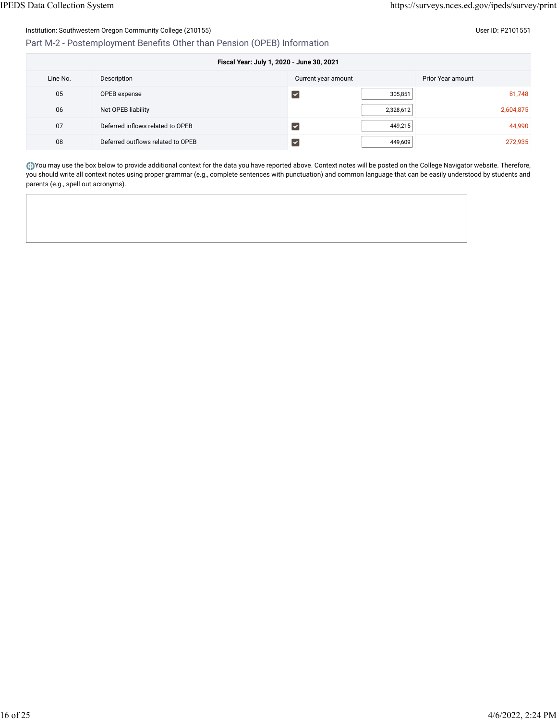Part M-2 - Postemployment Benefits Other than Pension (OPEB) Information

| Fiscal Year: July 1, 2020 - June 30, 2021 |                                   |                      |           |                   |  |
|-------------------------------------------|-----------------------------------|----------------------|-----------|-------------------|--|
| Line No.                                  | Description                       | Current year amount  |           | Prior Year amount |  |
| 05                                        | OPEB expense                      | է                    | 305,851   | 81,748            |  |
| 06                                        | Net OPEB liability                |                      | 2,328,612 | 2,604,875         |  |
| 07                                        | Deferred inflows related to OPEB  | է                    | 449,215   | 44,990            |  |
| 08                                        | Deferred outflows related to OPEB | $\blacktriangledown$ | 449,609   | 272,935           |  |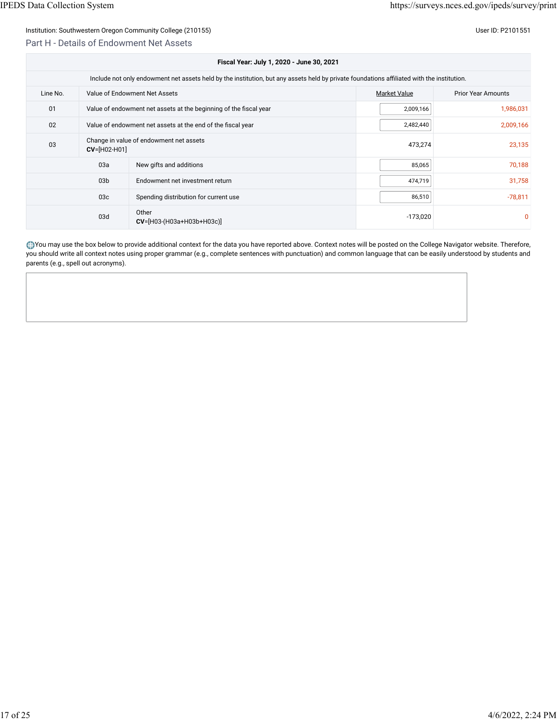#### Part H - Details of Endowment Net Assets

|          | Fiscal Year: July 1, 2020 - June 30, 2021                 |                                                                                                                                            |                     |                           |  |  |
|----------|-----------------------------------------------------------|--------------------------------------------------------------------------------------------------------------------------------------------|---------------------|---------------------------|--|--|
|          |                                                           | Include not only endowment net assets held by the institution, but any assets held by private foundations affiliated with the institution. |                     |                           |  |  |
| Line No. |                                                           | Value of Endowment Net Assets                                                                                                              | <b>Market Value</b> | <b>Prior Year Amounts</b> |  |  |
| 01       |                                                           | Value of endowment net assets at the beginning of the fiscal year                                                                          | 2,009,166           | 1,986,031                 |  |  |
| 02       |                                                           | Value of endowment net assets at the end of the fiscal year                                                                                | 2,482,440           | 2,009,166                 |  |  |
| 03       | Change in value of endowment net assets<br>$CV=[H02-H01]$ |                                                                                                                                            | 473,274             | 23,135                    |  |  |
|          | 03a                                                       | New gifts and additions                                                                                                                    | 85,065              | 70,188                    |  |  |
|          | 03 <sub>b</sub>                                           | Endowment net investment return                                                                                                            | 474,719             | 31,758                    |  |  |
|          | 03 <sub>c</sub>                                           | Spending distribution for current use                                                                                                      | 86,510              | $-78,811$                 |  |  |
|          | 03d                                                       | Other<br>$CV=[H03-(H03a+H03b+H03c)]$                                                                                                       | $-173,020$          | 0                         |  |  |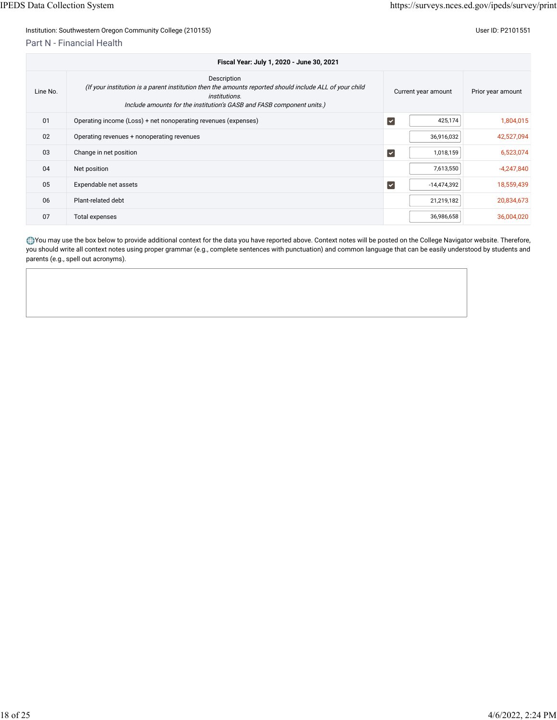Part N - Financial Health

| Fiscal Year: July 1, 2020 - June 30, 2021 |                                                                                                                                                                                                                         |                         |               |                   |  |
|-------------------------------------------|-------------------------------------------------------------------------------------------------------------------------------------------------------------------------------------------------------------------------|-------------------------|---------------|-------------------|--|
| Line No.                                  | Description<br>(If your institution is a parent institution then the amounts reported should include ALL of your child<br><i>institutions.</i><br>Include amounts for the institution's GASB and FASB component units.) | Current year amount     |               | Prior year amount |  |
| 01                                        | Operating income (Loss) + net nonoperating revenues (expenses)                                                                                                                                                          | $\overline{\mathbf{v}}$ | 425,174       | 1,804,015         |  |
| 02                                        | Operating revenues + nonoperating revenues                                                                                                                                                                              |                         | 36,916,032    | 42,527,094        |  |
| 03                                        | Change in net position                                                                                                                                                                                                  | $\overline{\mathbf{v}}$ | 1,018,159     | 6,523,074         |  |
| 04                                        | Net position                                                                                                                                                                                                            |                         | 7,613,550     | $-4,247,840$      |  |
| 05                                        | Expendable net assets                                                                                                                                                                                                   | $\blacktriangledown$    | $-14,474,392$ | 18,559,439        |  |
| 06                                        | Plant-related debt                                                                                                                                                                                                      |                         | 21,219,182    | 20,834,673        |  |
| 07                                        | <b>Total expenses</b>                                                                                                                                                                                                   |                         | 36,986,658    | 36,004,020        |  |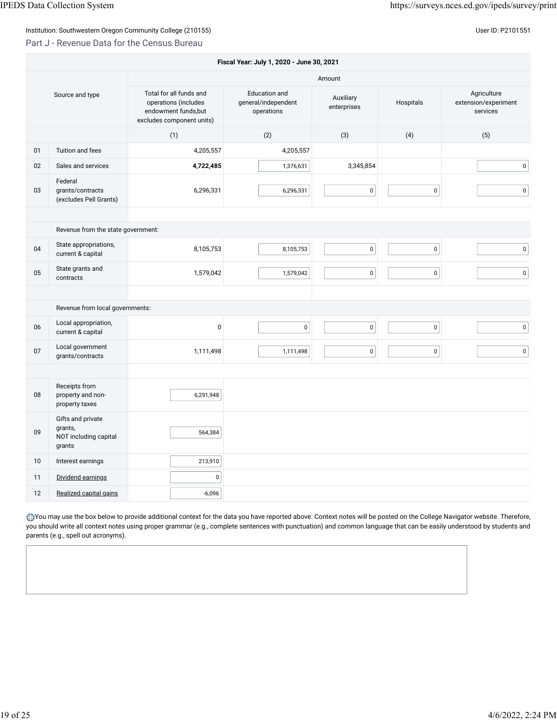#### Part J - Revenue Data for the Census Bureau

|                 | Fiscal Year: July 1, 2020 - June 30, 2021                       |                                                                                                      |                                                           |                          |           |                                                 |  |
|-----------------|-----------------------------------------------------------------|------------------------------------------------------------------------------------------------------|-----------------------------------------------------------|--------------------------|-----------|-------------------------------------------------|--|
|                 |                                                                 |                                                                                                      |                                                           | Amount                   |           |                                                 |  |
| Source and type |                                                                 | Total for all funds and<br>operations (includes<br>endowment funds, but<br>excludes component units) | <b>Education</b> and<br>general/independent<br>operations | Auxiliary<br>enterprises | Hospitals | Agriculture<br>extension/experiment<br>services |  |
|                 |                                                                 | (1)                                                                                                  | (2)                                                       | (3)                      | (4)       | (5)                                             |  |
| 01              | Tuition and fees                                                | 4,205,557                                                                                            | 4,205,557                                                 |                          |           |                                                 |  |
| 02              | Sales and services                                              | 4,722,485                                                                                            | 1,376,631                                                 | 3,345,854                |           | 0                                               |  |
| 03              | Federal<br>grants/contracts<br>(excludes Pell Grants)           | 6,296,331                                                                                            | 6,296,331                                                 | $\pmb{0}$                | $\pmb{0}$ | 0                                               |  |
|                 |                                                                 |                                                                                                      |                                                           |                          |           |                                                 |  |
|                 | Revenue from the state government:                              |                                                                                                      |                                                           |                          |           |                                                 |  |
| 04              | State appropriations,<br>current & capital                      | 8,105,753                                                                                            | 8,105,753                                                 | $\pmb{0}$                | $\pmb{0}$ | 0                                               |  |
| 05              | State grants and<br>contracts                                   | 1,579,042                                                                                            | 1,579,042                                                 | $\pmb{0}$                | $\pmb{0}$ | 0                                               |  |
|                 |                                                                 |                                                                                                      |                                                           |                          |           |                                                 |  |
|                 | Revenue from local governments:                                 |                                                                                                      |                                                           |                          |           |                                                 |  |
| 06              | Local appropriation,<br>current & capital                       | $\mathbf 0$                                                                                          | $\mathsf 0$                                               | $\pmb{0}$                | $\pmb{0}$ | 0                                               |  |
| 07              | Local government<br>grants/contracts                            | 1,111,498                                                                                            | 1,111,498                                                 | $\mathsf 0$              | $\pmb{0}$ | 0                                               |  |
|                 |                                                                 |                                                                                                      |                                                           |                          |           |                                                 |  |
| 08              | Receipts from<br>property and non-<br>property taxes            | 6,291,948                                                                                            |                                                           |                          |           |                                                 |  |
| 09              | Gifts and private<br>grants,<br>NOT including capital<br>grants | 564,384                                                                                              |                                                           |                          |           |                                                 |  |
| 10              | Interest earnings                                               | 213,910                                                                                              |                                                           |                          |           |                                                 |  |
| 11              | Dividend earnings                                               | $\pmb{0}$                                                                                            |                                                           |                          |           |                                                 |  |
| 12              | Realized capital gains                                          | $-6,096$                                                                                             |                                                           |                          |           |                                                 |  |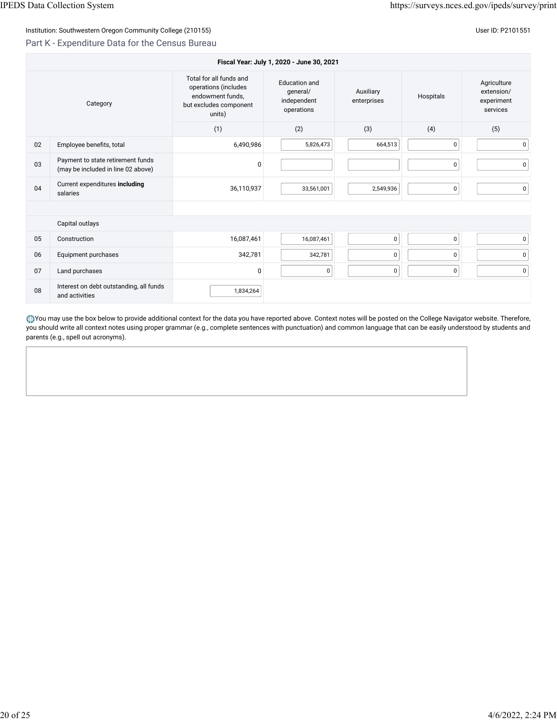## Part K - Expenditure Data for the Census Bureau

| Fiscal Year: July 1, 2020 - June 30, 2021 |                                                                         |                                                                                                         |                                                               |                          |           |                                                     |  |
|-------------------------------------------|-------------------------------------------------------------------------|---------------------------------------------------------------------------------------------------------|---------------------------------------------------------------|--------------------------|-----------|-----------------------------------------------------|--|
| Category                                  |                                                                         | Total for all funds and<br>operations (includes<br>endowment funds,<br>but excludes component<br>units) | <b>Education</b> and<br>qeneral/<br>independent<br>operations | Auxiliary<br>enterprises | Hospitals | Agriculture<br>extension/<br>experiment<br>services |  |
|                                           |                                                                         | (1)                                                                                                     | (2)                                                           | (3)                      | (4)       | (5)                                                 |  |
| 02                                        | Employee benefits, total                                                | 6,490,986                                                                                               | 5,826,473                                                     | 664,513                  | $\pmb{0}$ | 0                                                   |  |
| 03                                        | Payment to state retirement funds<br>(may be included in line 02 above) | 0                                                                                                       |                                                               |                          | $\pmb{0}$ | $\pmb{0}$                                           |  |
| 04                                        | Current expenditures including<br>salaries                              | 36,110,937                                                                                              | 33,561,001                                                    | 2,549,936                | $\pmb{0}$ | 0                                                   |  |
|                                           |                                                                         |                                                                                                         |                                                               |                          |           |                                                     |  |
|                                           | Capital outlays                                                         |                                                                                                         |                                                               |                          |           |                                                     |  |
| 05                                        | Construction                                                            | 16,087,461                                                                                              | 16,087,461                                                    | $\mathbf 0$              | $\pmb{0}$ | 0                                                   |  |
| 06                                        | Equipment purchases                                                     | 342,781                                                                                                 | 342,781                                                       | $\mathbf 0$              | $\pmb{0}$ | 0                                                   |  |
| 07                                        | Land purchases                                                          | 0                                                                                                       | 0                                                             | $\pmb{0}$                | $\pmb{0}$ | $\pmb{0}$                                           |  |
| 08                                        | Interest on debt outstanding, all funds<br>and activities               | 1,834,264                                                                                               |                                                               |                          |           |                                                     |  |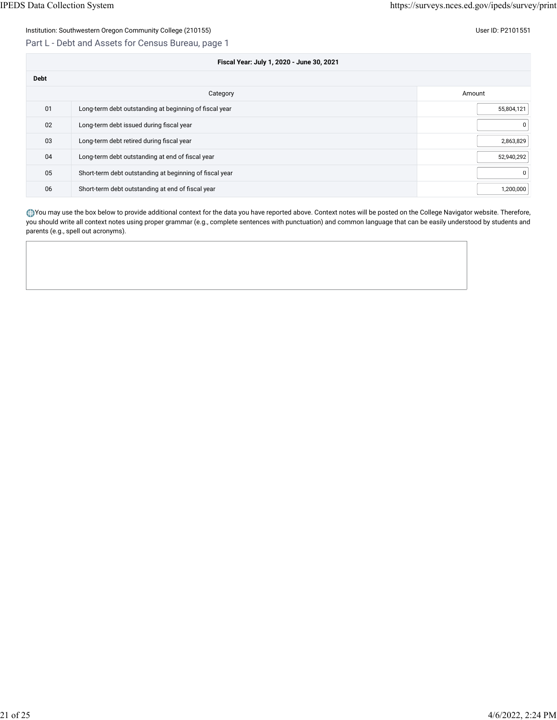#### Part L - Debt and Assets for Census Bureau, page 1

| Fiscal Year: July 1, 2020 - June 30, 2021 |                                                         |            |  |  |  |
|-------------------------------------------|---------------------------------------------------------|------------|--|--|--|
| <b>Debt</b>                               |                                                         |            |  |  |  |
|                                           | Category                                                | Amount     |  |  |  |
| 01                                        | Long-term debt outstanding at beginning of fiscal year  | 55,804,121 |  |  |  |
| 02                                        | Long-term debt issued during fiscal year                | 0          |  |  |  |
| 03                                        | Long-term debt retired during fiscal year               | 2,863,829  |  |  |  |
| 04                                        | Long-term debt outstanding at end of fiscal year        | 52,940,292 |  |  |  |
| 05                                        | Short-term debt outstanding at beginning of fiscal year | 0          |  |  |  |
| 06                                        | Short-term debt outstanding at end of fiscal year       | 1,200,000  |  |  |  |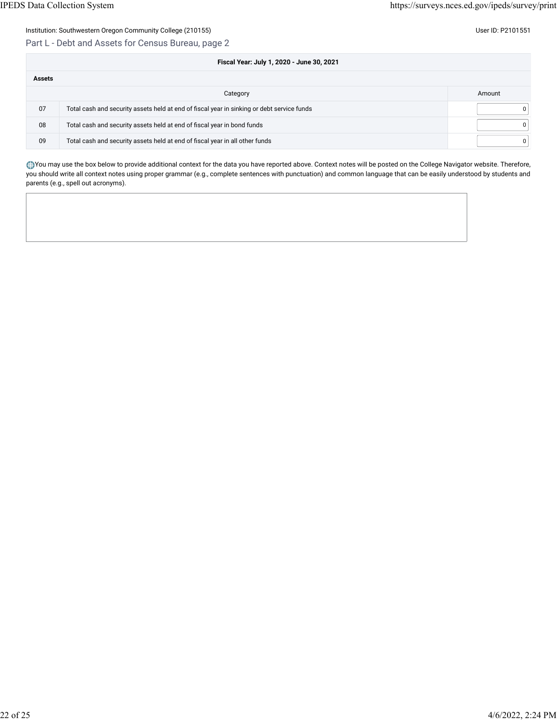#### Part L - Debt and Assets for Census Bureau, page 2

|               | Fiscal Year: July 1, 2020 - June 30, 2021                                                  |              |
|---------------|--------------------------------------------------------------------------------------------|--------------|
| <b>Assets</b> |                                                                                            |              |
|               | Category                                                                                   | Amount       |
| 07            | Total cash and security assets held at end of fiscal year in sinking or debt service funds | <sup>n</sup> |
| 08            | Total cash and security assets held at end of fiscal year in bond funds                    | $\Omega$     |
| 09            | Total cash and security assets held at end of fiscal year in all other funds               | $\Omega$     |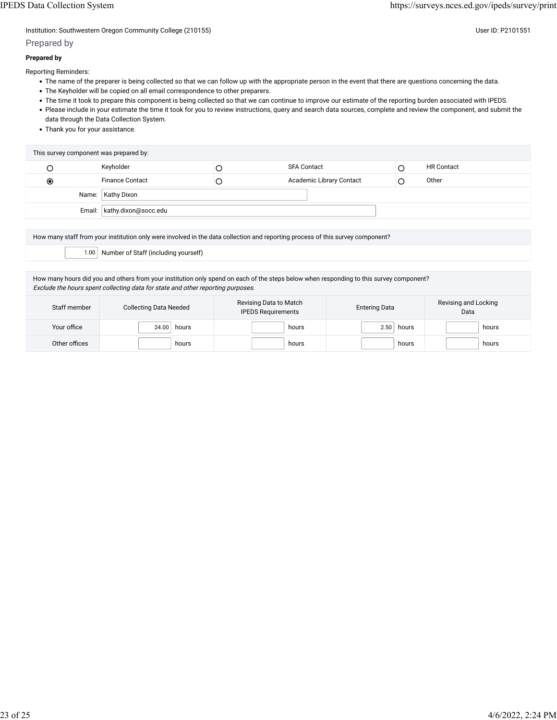Institution: Southwestern Oregon Community College (210155) Community College (210155)

#### Prepared by

#### **Prepared by**

Reporting Reminders:

- The name of the preparer is being collected so that we can follow up with the appropriate person in the event that there are questions concerning the data.
- The Keyholder will be copied on all email correspondence to other preparers.
- The time it took to prepare this component is being collected so that we can continue to improve our estimate of the reporting burden associated with IPEDS.
- Please include in your estimate the time it took for you to review instructions, query and search data sources, complete and review the component, and submit the data through the Data Collection System.
- Thank you for your assistance.

| This survey component was prepared by: |                               |  |                          |  |                   |  |
|----------------------------------------|-------------------------------|--|--------------------------|--|-------------------|--|
|                                        | Keyholder                     |  | <b>SFA Contact</b>       |  | <b>HR Contact</b> |  |
| $_{\circledcirc}$                      | <b>Finance Contact</b>        |  | Academic Library Contact |  | Other             |  |
|                                        | Name:   Kathy Dixon           |  |                          |  |                   |  |
|                                        | Email:   kathy.dixon@socc.edu |  |                          |  |                   |  |

How many staff from your institution only were involved in the data collection and reporting process of this survey component?

1.00 Number of Staff (including yourself)

How many hours did you and others from your institution only spend on each of the steps below when responding to this survey component? Exclude the hours spent collecting data for state and other reporting purposes.

| Staff member  | <b>Collecting Data Needed</b> | Revising Data to Match<br><b>IPEDS Requirements</b> | <b>Entering Data</b> | Revising and Locking<br>Data |
|---------------|-------------------------------|-----------------------------------------------------|----------------------|------------------------------|
| Your office   | 24.00<br>hours                | hours                                               | 2.50<br>hours        | hours                        |
| Other offices | hours                         | hours                                               | hours                | hours                        |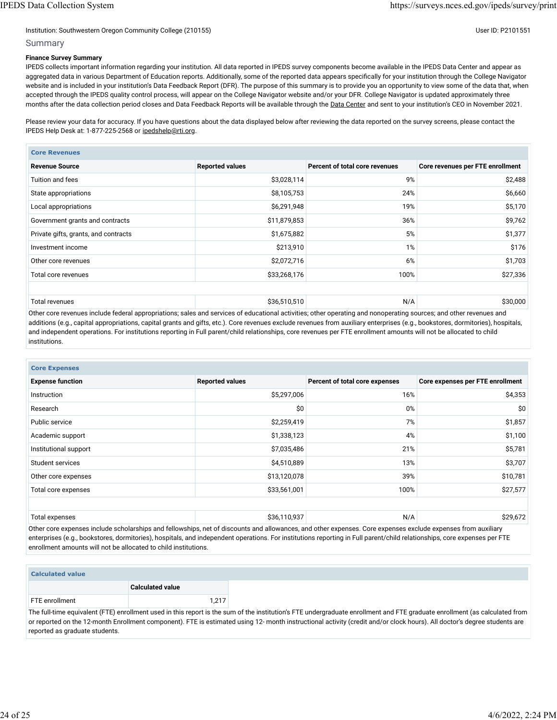#### Institution: Southwestern Oregon Community College (210155) Community College (210155)

#### Summary

#### **Finance Survey Summary**

IPEDS collects important information regarding your institution. All data reported in IPEDS survey components become available in the IPEDS Data Center and appear as aggregated data in various Department of Education reports. Additionally, some of the reported data appears specifically for your institution through the College Navigator website and is included in your institution's Data Feedback Report (DFR). The purpose of this summary is to provide you an opportunity to view some of the data that, when accepted through the IPEDS quality control process, will appear on the College Navigator website and/or your DFR. College Navigator is updated approximately three months after the data collection period closes and Data Feedback Reports will be available through the [Data Center](https://nces.ed.gov/ipeds/use-the-data) and sent to your institution's CEO in November 2021.

Please review your data for accuracy. If you have questions about the data displayed below after reviewing the data reported on the survey screens, please contact the IPEDS Help Desk at: 1-877-225-2568 or [ipedshelp@rti.org.](mailto:ipedshelp@rti.org)

| <b>Core Revenues</b>                 |                        |                                |                                  |  |  |
|--------------------------------------|------------------------|--------------------------------|----------------------------------|--|--|
| <b>Revenue Source</b>                | <b>Reported values</b> | Percent of total core revenues | Core revenues per FTE enrollment |  |  |
| Tuition and fees                     | \$3,028,114            | 9%                             | \$2,488                          |  |  |
| State appropriations                 | \$8,105,753            | 24%                            | \$6,660                          |  |  |
| Local appropriations                 | \$6,291,948            | 19%                            | \$5,170                          |  |  |
| Government grants and contracts      | \$11,879,853           | 36%                            | \$9,762                          |  |  |
| Private gifts, grants, and contracts | \$1,675,882            | 5%                             | \$1,377                          |  |  |
| Investment income                    | \$213,910              | 1%                             | \$176                            |  |  |
| Other core revenues                  | \$2,072,716            | 6%                             | \$1,703                          |  |  |
| Total core revenues                  | \$33,268,176           | 100%                           | \$27,336                         |  |  |
|                                      |                        |                                |                                  |  |  |
| Total revenues                       | \$36,510,510           | N/A                            | \$30,000                         |  |  |

Other core revenues include federal appropriations; sales and services of educational activities; other operating and nonoperating sources; and other revenues and additions (e.g., capital appropriations, capital grants and gifts, etc.). Core revenues exclude revenues from auxiliary enterprises (e.g., bookstores, dormitories), hospitals, and independent operations. For institutions reporting in Full parent/child relationships, core revenues per FTE enrollment amounts will not be allocated to child institutions.

| <b>Core Expenses</b>    |                        |                                |                                  |
|-------------------------|------------------------|--------------------------------|----------------------------------|
| <b>Expense function</b> | <b>Reported values</b> | Percent of total core expenses | Core expenses per FTE enrollment |
| Instruction             | \$5,297,006            | 16%                            | \$4,353                          |
| Research                | \$0                    | 0%                             | \$0                              |
| Public service          | \$2,259,419            | 7%                             | \$1,857                          |
| Academic support        | \$1,338,123            | 4%                             | \$1,100                          |
| Institutional support   | \$7,035,486            | 21%                            | \$5,781                          |
| Student services        | \$4,510,889            | 13%                            | \$3,707                          |
| Other core expenses     | \$13,120,078           | 39%                            | \$10,781                         |
| Total core expenses     | \$33,561,001           | 100%                           | \$27,577                         |
|                         |                        |                                |                                  |
| Total expenses          | \$36,110,937           | N/A                            | \$29,672                         |

Other core expenses include scholarships and fellowships, net of discounts and allowances, and other expenses. Core expenses exclude expenses from auxiliary enterprises (e.g., bookstores, dormitories), hospitals, and independent operations. For institutions reporting in Full parent/child relationships, core expenses per FTE enrollment amounts will not be allocated to child institutions.

| <b>Calculated value</b> |                         |  |  |  |  |
|-------------------------|-------------------------|--|--|--|--|
|                         | <b>Calculated value</b> |  |  |  |  |
| FTE enrollment          | 1.217                   |  |  |  |  |
|                         |                         |  |  |  |  |

The full-time equivalent (FTE) enrollment used in this report is the sum of the institution's FTE undergraduate enrollment and FTE graduate enrollment (as calculated from or reported on the 12-month Enrollment component). FTE is estimated using 12- month instructional activity (credit and/or clock hours). All doctor's degree students are reported as graduate students.